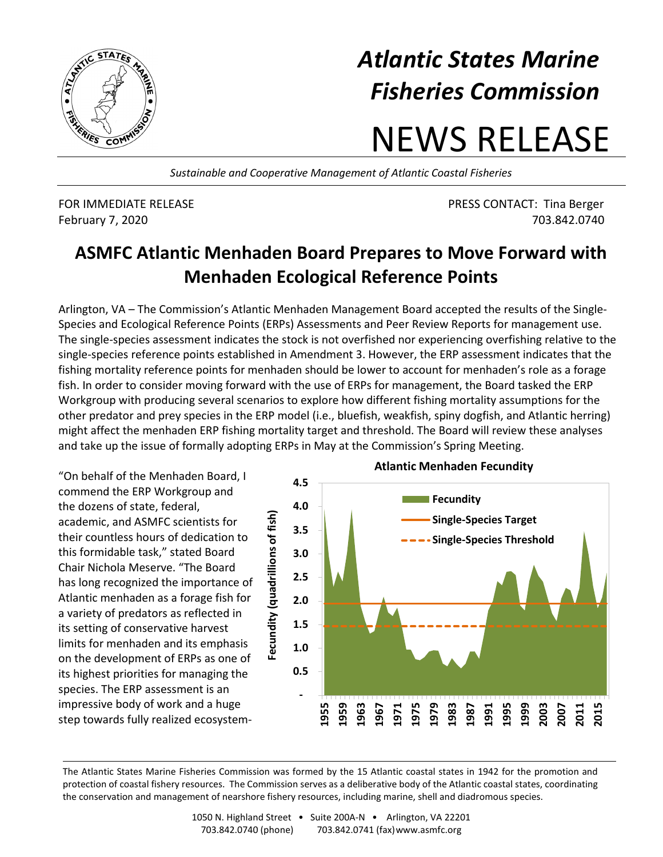

## *Atlantic States Marine Fisheries Commission*

## NEWS RELEASE

*Sustainable and Cooperative Management of Atlantic Coastal Fisheries*

FOR IMMEDIATE RELEASE PRESS CONTACT: Tina Berger February 7, 2020 703.842.0740

## **ASMFC Atlantic Menhaden Board Prepares to Move Forward with Menhaden Ecological Reference Points**

Arlington, VA – The Commission's Atlantic Menhaden Management Board accepted the results of the Single-Species and Ecological Reference Points (ERPs) Assessments and Peer Review Reports for management use. The single-species assessment indicates the stock is not overfished nor experiencing overfishing relative to the single-species reference points established in Amendment 3. However, the ERP assessment indicates that the fishing mortality reference points for menhaden should be lower to account for menhaden's role as a forage fish. In order to consider moving forward with the use of ERPs for management, the Board tasked the ERP Workgroup with producing several scenarios to explore how different fishing mortality assumptions for the other predator and prey species in the ERP model (i.e., bluefish, weakfish, spiny dogfish, and Atlantic herring) might affect the menhaden ERP fishing mortality target and threshold. The Board will review these analyses and take up the issue of formally adopting ERPs in May at the Commission's Spring Meeting.

"On behalf of the Menhaden Board, I commend the ERP Workgroup and the dozens of state, federal, academic, and ASMFC scientists for their countless hours of dedication to this formidable task," stated Board Chair Nichola Meserve. "The Board has long recognized the importance of Atlantic menhaden as a forage fish for a variety of predators as reflected in its setting of conservative harvest limits for menhaden and its emphasis on the development of ERPs as one of its highest priorities for managing the species. The ERP assessment is an impressive body of work and a huge step towards fully realized ecosystem-



The Atlantic States Marine Fisheries Commission was formed by the 15 Atlantic coastal states in 1942 for the promotion and protection of coastal fishery resources. The Commission serves as a deliberative body of the Atlantic coastal states, coordinating the conservation and management of nearshore fishery resources, including marine, shell and diadromous species.